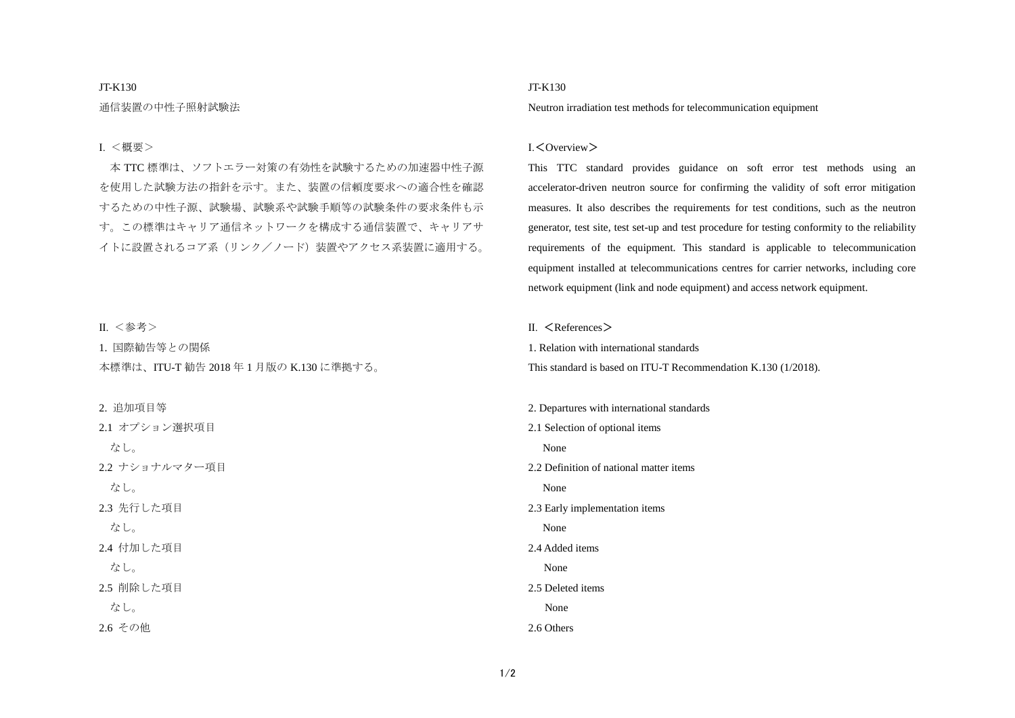### JT-K130

通信装置の中性子照射試験法

### Ⅰ. <概要>

本 TTC 標準は、ソフトエラー対策の有効性を試験するための加速器中性子源 を使用した試験方法の指針を示す。また、装置の信頼度要求への適合性を確認 するための中性子源、試験場、試験系や試験手順等の試験条件の要求条件も示 す。この標準はキャリア通信ネットワークを構成する通信装置で、キャリアサ イトに設置されるコア系(リンク/ノード)装置やアクセス系装置に適用する。

### Ⅱ. <参考>

1. 国際勧告等との関係 本標準は、ITU-T 勧告 2018 年 1 月版の K.130 に準拠する。

#### 2. 追加項目等

2.1 オプション選択項目 なし。 2.2 ナショナルマター項目 なし。 2.3 先行した項目 なし。 2.4 付加した項目 なし。 2.5 削除した項目 なし。 2.6 その他

## JT-K130

Neutron irradiation test methods for telecommunication equipment

### Ⅰ.<Overview>

This TTC standard provides guidance on soft error test methods using an accelerator-driven neutron source for confirming the validity of soft error mitigation measures. It also describes the requirements for test conditions, such as the neutron generator, test site, test set-up and test procedure for testing conformity to the reliability requirements of the equipment. This standard is applicable to telecommunication equipment installed at telecommunications centres for carrier networks, including core network equipment (link and node equipment) and access network equipment.

Ⅱ. <References>

1. Relation with international standards

This standard is based on ITU-T Recommendation K.130 (1/2018).

2. Departures with international standards 2.1 Selection of optional items None 2.2 Definition of national matter items None 2.3 Early implementation items None 2.4 Added items None 2.5 Deleted items None 2.6 Others